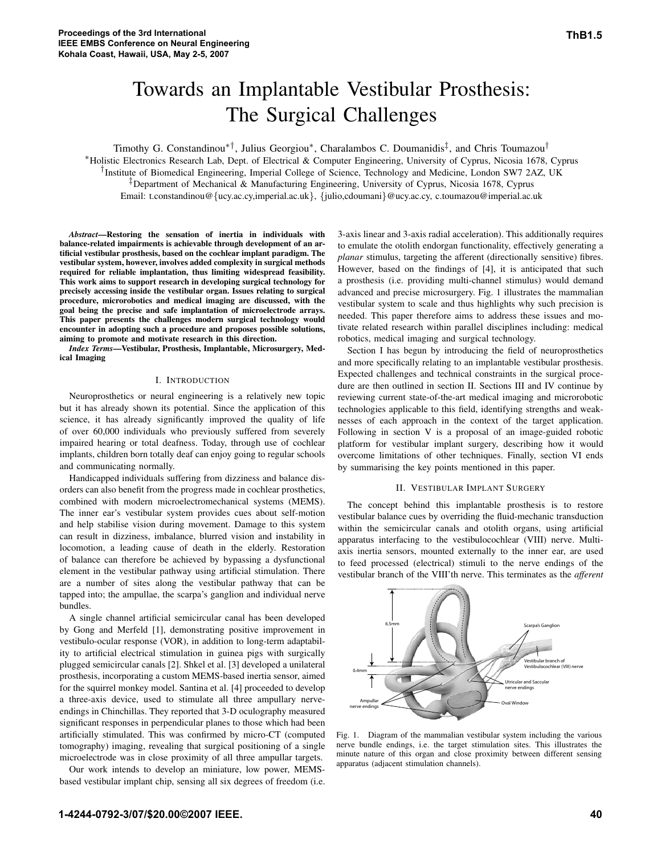# Towards an Implantable Vestibular Prosthesis: The Surgical Challenges

Timothy G. Constandinou∗†, Julius Georgiou<sup>∗</sup> , Charalambos C. Doumanidis‡ , and Chris Toumazou† <sup>∗</sup>Holistic Electronics Research Lab, Dept. of Electrical & Computer Engineering, University of Cyprus, Nicosia 1678, Cyprus † Institute of Biomedical Engineering, Imperial College of Science, Technology and Medicine, London SW7 2AZ, UK ‡Department of Mechanical & Manufacturing Engineering, University of Cyprus, Nicosia 1678, Cyprus

Email: t.constandinou@{ucy.ac.cy,imperial.ac.uk}, {julio,cdoumani}@ucy.ac.cy, c.toumazou@imperial.ac.uk

*Abstract*—Restoring the sensation of inertia in individuals with balance-related impairments is achievable through development of an artificial vestibular prosthesis, based on the cochlear implant paradigm. The vestibular system, however, involves added complexity in surgical methods required for reliable implantation, thus limiting widespread feasibility. This work aims to support research in developing surgical technology for precisely accessing inside the vestibular organ. Issues relating to surgical procedure, microrobotics and medical imaging are discussed, with the goal being the precise and safe implantation of microelectrode arrays. This paper presents the challenges modern surgical technology would encounter in adopting such a procedure and proposes possible solutions, aiming to promote and motivate research in this direction.

*Index Terms*—Vestibular, Prosthesis, Implantable, Microsurgery, Medical Imaging

# I. INTRODUCTION

Neuroprosthetics or neural engineering is a relatively new topic but it has already shown its potential. Since the application of this science, it has already significantly improved the quality of life of over 60,000 individuals who previously suffered from severely impaired hearing or total deafness. Today, through use of cochlear implants, children born totally deaf can enjoy going to regular schools and communicating normally.

Handicapped individuals suffering from dizziness and balance disorders can also benefit from the progress made in cochlear prosthetics, combined with modern microelectromechanical systems (MEMS). The inner ear's vestibular system provides cues about self-motion and help stabilise vision during movement. Damage to this system can result in dizziness, imbalance, blurred vision and instability in locomotion, a leading cause of death in the elderly. Restoration of balance can therefore be achieved by bypassing a dysfunctional element in the vestibular pathway using artificial stimulation. There are a number of sites along the vestibular pathway that can be tapped into; the ampullae, the scarpa's ganglion and individual nerve bundles.

A single channel artificial semicircular canal has been developed by Gong and Merfeld [1], demonstrating positive improvement in vestibulo-ocular response (VOR), in addition to long-term adaptability to artificial electrical stimulation in guinea pigs with surgically plugged semicircular canals [2]. Shkel et al. [3] developed a unilateral prosthesis, incorporating a custom MEMS-based inertia sensor, aimed for the squirrel monkey model. Santina et al. [4] proceeded to develop a three-axis device, used to stimulate all three ampullary nerveendings in Chinchillas. They reported that 3-D oculography measured significant responses in perpendicular planes to those which had been artificially stimulated. This was confirmed by micro-CT (computed tomography) imaging, revealing that surgical positioning of a single microelectrode was in close proximity of all three ampullar targets.

Our work intends to develop an miniature, low power, MEMSbased vestibular implant chip, sensing all six degrees of freedom (i.e. 3-axis linear and 3-axis radial acceleration). This additionally requires to emulate the otolith endorgan functionality, effectively generating a *planar* stimulus, targeting the afferent (directionally sensitive) fibres. However, based on the findings of [4], it is anticipated that such a prosthesis (i.e. providing multi-channel stimulus) would demand advanced and precise microsurgery. Fig. 1 illustrates the mammalian vestibular system to scale and thus highlights why such precision is needed. This paper therefore aims to address these issues and motivate related research within parallel disciplines including: medical robotics, medical imaging and surgical technology.

Section I has begun by introducing the field of neuroprosthetics and more specifically relating to an implantable vestibular prosthesis. Expected challenges and technical constraints in the surgical procedure are then outlined in section II. Sections III and IV continue by reviewing current state-of-the-art medical imaging and microrobotic technologies applicable to this field, identifying strengths and weaknesses of each approach in the context of the target application. Following in section V is a proposal of an image-guided robotic platform for vestibular implant surgery, describing how it would overcome limitations of other techniques. Finally, section VI ends by summarising the key points mentioned in this paper.

#### II. VESTIBULAR IMPLANT SURGERY

The concept behind this implantable prosthesis is to restore vestibular balance cues by overriding the fluid-mechanic transduction within the semicircular canals and otolith organs, using artificial apparatus interfacing to the vestibulocochlear (VIII) nerve. Multiaxis inertia sensors, mounted externally to the inner ear, are used to feed processed (electrical) stimuli to the nerve endings of the vestibular branch of the VIII'th nerve. This terminates as the *afferent*



Fig. 1. Diagram of the mammalian vestibular system including the various nerve bundle endings, i.e. the target stimulation sites. This illustrates the minute nature of this organ and close proximity between different sensing apparatus (adjacent stimulation channels).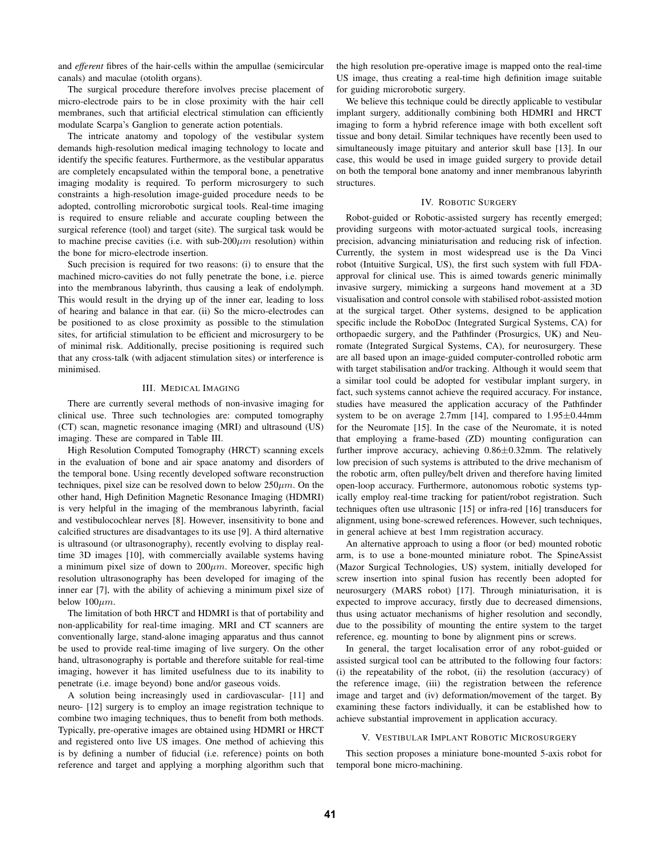and *efferent* fibres of the hair-cells within the ampullae (semicircular canals) and maculae (otolith organs).

The surgical procedure therefore involves precise placement of micro-electrode pairs to be in close proximity with the hair cell membranes, such that artificial electrical stimulation can efficiently modulate Scarpa's Ganglion to generate action potentials.

The intricate anatomy and topology of the vestibular system demands high-resolution medical imaging technology to locate and identify the specific features. Furthermore, as the vestibular apparatus are completely encapsulated within the temporal bone, a penetrative imaging modality is required. To perform microsurgery to such constraints a high-resolution image-guided procedure needs to be adopted, controlling microrobotic surgical tools. Real-time imaging is required to ensure reliable and accurate coupling between the surgical reference (tool) and target (site). The surgical task would be to machine precise cavities (i.e. with  $sub-200 \mu m$  resolution) within the bone for micro-electrode insertion.

Such precision is required for two reasons: (i) to ensure that the machined micro-cavities do not fully penetrate the bone, i.e. pierce into the membranous labyrinth, thus causing a leak of endolymph. This would result in the drying up of the inner ear, leading to loss of hearing and balance in that ear. (ii) So the micro-electrodes can be positioned to as close proximity as possible to the stimulation sites, for artificial stimulation to be efficient and microsurgery to be of minimal risk. Additionally, precise positioning is required such that any cross-talk (with adjacent stimulation sites) or interference is minimised.

#### III. MEDICAL IMAGING

There are currently several methods of non-invasive imaging for clinical use. Three such technologies are: computed tomography (CT) scan, magnetic resonance imaging (MRI) and ultrasound (US) imaging. These are compared in Table III.

High Resolution Computed Tomography (HRCT) scanning excels in the evaluation of bone and air space anatomy and disorders of the temporal bone. Using recently developed software reconstruction techniques, pixel size can be resolved down to below  $250 \mu m$ . On the other hand, High Definition Magnetic Resonance Imaging (HDMRI) is very helpful in the imaging of the membranous labyrinth, facial and vestibulocochlear nerves [8]. However, insensitivity to bone and calcified structures are disadvantages to its use [9]. A third alternative is ultrasound (or ultrasonography), recently evolving to display realtime 3D images [10], with commercially available systems having a minimum pixel size of down to  $200 \mu m$ . Moreover, specific high resolution ultrasonography has been developed for imaging of the inner ear [7], with the ability of achieving a minimum pixel size of below  $100 \mu m$ .

The limitation of both HRCT and HDMRI is that of portability and non-applicability for real-time imaging. MRI and CT scanners are conventionally large, stand-alone imaging apparatus and thus cannot be used to provide real-time imaging of live surgery. On the other hand, ultrasonography is portable and therefore suitable for real-time imaging, however it has limited usefulness due to its inability to penetrate (i.e. image beyond) bone and/or gaseous voids.

A solution being increasingly used in cardiovascular- [11] and neuro- [12] surgery is to employ an image registration technique to combine two imaging techniques, thus to benefit from both methods. Typically, pre-operative images are obtained using HDMRI or HRCT and registered onto live US images. One method of achieving this is by defining a number of fiducial (i.e. reference) points on both reference and target and applying a morphing algorithm such that the high resolution pre-operative image is mapped onto the real-time US image, thus creating a real-time high definition image suitable for guiding microrobotic surgery.

We believe this technique could be directly applicable to vestibular implant surgery, additionally combining both HDMRI and HRCT imaging to form a hybrid reference image with both excellent soft tissue and bony detail. Similar techniques have recently been used to simultaneously image pituitary and anterior skull base [13]. In our case, this would be used in image guided surgery to provide detail on both the temporal bone anatomy and inner membranous labyrinth structures.

## IV. ROBOTIC SURGERY

Robot-guided or Robotic-assisted surgery has recently emerged; providing surgeons with motor-actuated surgical tools, increasing precision, advancing miniaturisation and reducing risk of infection. Currently, the system in most widespread use is the Da Vinci robot (Intuitive Surgical, US), the first such system with full FDAapproval for clinical use. This is aimed towards generic minimally invasive surgery, mimicking a surgeons hand movement at a 3D visualisation and control console with stabilised robot-assisted motion at the surgical target. Other systems, designed to be application specific include the RoboDoc (Integrated Surgical Systems, CA) for orthopaedic surgery, and the Pathfinder (Prosurgics, UK) and Neuromate (Integrated Surgical Systems, CA), for neurosurgery. These are all based upon an image-guided computer-controlled robotic arm with target stabilisation and/or tracking. Although it would seem that a similar tool could be adopted for vestibular implant surgery, in fact, such systems cannot achieve the required accuracy. For instance, studies have measured the application accuracy of the Pathfinder system to be on average 2.7mm [14], compared to 1.95±0.44mm for the Neuromate [15]. In the case of the Neuromate, it is noted that employing a frame-based (ZD) mounting configuration can further improve accuracy, achieving 0.86±0.32mm. The relatively low precision of such systems is attributed to the drive mechanism of the robotic arm, often pulley/belt driven and therefore having limited open-loop accuracy. Furthermore, autonomous robotic systems typically employ real-time tracking for patient/robot registration. Such techniques often use ultrasonic [15] or infra-red [16] transducers for alignment, using bone-screwed references. However, such techniques, in general achieve at best 1mm registration accuracy.

An alternative approach to using a floor (or bed) mounted robotic arm, is to use a bone-mounted miniature robot. The SpineAssist (Mazor Surgical Technologies, US) system, initially developed for screw insertion into spinal fusion has recently been adopted for neurosurgery (MARS robot) [17]. Through miniaturisation, it is expected to improve accuracy, firstly due to decreased dimensions, thus using actuator mechanisms of higher resolution and secondly, due to the possibility of mounting the entire system to the target reference, eg. mounting to bone by alignment pins or screws.

In general, the target localisation error of any robot-guided or assisted surgical tool can be attributed to the following four factors: (i) the repeatability of the robot, (ii) the resolution (accuracy) of the reference image, (iii) the registration between the reference image and target and (iv) deformation/movement of the target. By examining these factors individually, it can be established how to achieve substantial improvement in application accuracy.

#### V. VESTIBULAR IMPLANT ROBOTIC MICROSURGERY

This section proposes a miniature bone-mounted 5-axis robot for temporal bone micro-machining.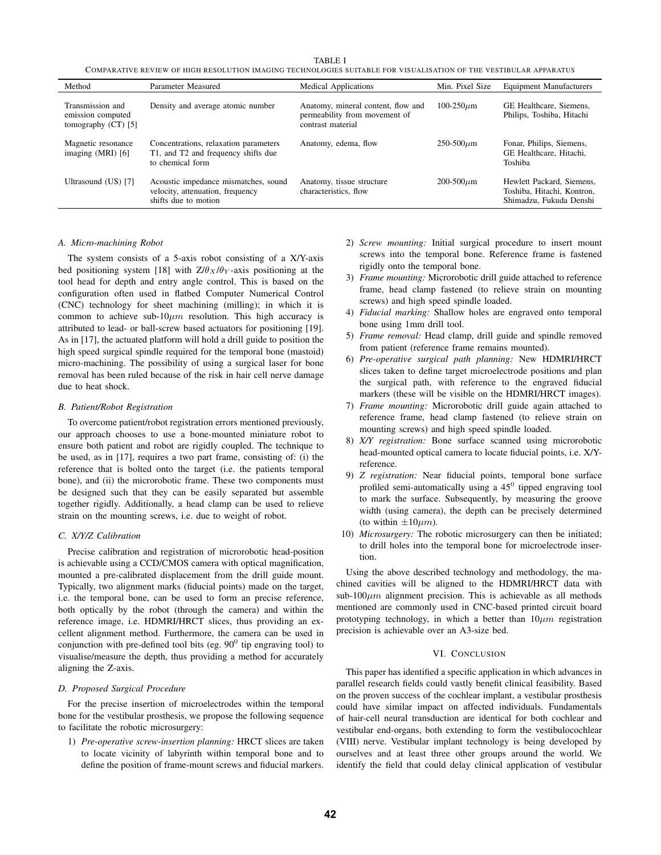COMPARATIVE REVIEW OF HIGH RESOLUTION IMAGING TECHNOLOGIES SUITABLE FOR VISUALISATION OF THE VESTIBULAR APPARATUS

| Method                                                         | Parameter Measured                                                                               | <b>Medical Applications</b>                                                              | Min. Pixel Size   | <b>Equipment Manufacturers</b>                                                     |
|----------------------------------------------------------------|--------------------------------------------------------------------------------------------------|------------------------------------------------------------------------------------------|-------------------|------------------------------------------------------------------------------------|
| Transmission and<br>emission computed<br>tomography $(CT)$ [5] | Density and average atomic number                                                                | Anatomy, mineral content, flow and<br>permeability from movement of<br>contrast material | 100-250 $\mu$ m   | GE Healthcare, Siemens.<br>Philips, Toshiba, Hitachi                               |
| Magnetic resonance<br>imaging $(MRI)$ [6]                      | Concentrations, relaxation parameters<br>T1, and T2 and frequency shifts due<br>to chemical form | Anatomy, edema, flow                                                                     | $250 - 500 \mu m$ | Fonar, Philips, Siemens,<br>GE Healthcare, Hitachi,<br>Toshiba                     |
| Ultrasound (US) [7]                                            | Acoustic impedance mismatches, sound<br>velocity, attenuation, frequency<br>shifts due to motion | Anatomy, tissue structure<br>characteristics, flow                                       | $200 - 500 \mu m$ | Hewlett Packard, Siemens,<br>Toshiba, Hitachi, Kontron,<br>Shimadzu, Fukuda Denshi |

### *A. Micro-machining Robot*

The system consists of a 5-axis robot consisting of a X/Y-axis bed positioning system [18] with  $Z/\theta_X/\theta_Y$ -axis positioning at the tool head for depth and entry angle control. This is based on the configuration often used in flatbed Computer Numerical Control (CNC) technology for sheet machining (milling); in which it is common to achieve sub- $10 \mu m$  resolution. This high accuracy is attributed to lead- or ball-screw based actuators for positioning [19]. As in [17], the actuated platform will hold a drill guide to position the high speed surgical spindle required for the temporal bone (mastoid) micro-machining. The possibility of using a surgical laser for bone removal has been ruled because of the risk in hair cell nerve damage due to heat shock.

#### *B. Patient/Robot Registration*

To overcome patient/robot registration errors mentioned previously, our approach chooses to use a bone-mounted miniature robot to ensure both patient and robot are rigidly coupled. The technique to be used, as in [17], requires a two part frame, consisting of: (i) the reference that is bolted onto the target (i.e. the patients temporal bone), and (ii) the microrobotic frame. These two components must be designed such that they can be easily separated but assemble together rigidly. Additionally, a head clamp can be used to relieve strain on the mounting screws, i.e. due to weight of robot.

# *C. X/Y/Z Calibration*

Precise calibration and registration of microrobotic head-position is achievable using a CCD/CMOS camera with optical magnification, mounted a pre-calibrated displacement from the drill guide mount. Typically, two alignment marks (fiducial points) made on the target, i.e. the temporal bone, can be used to form an precise reference, both optically by the robot (through the camera) and within the reference image, i.e. HDMRI/HRCT slices, thus providing an excellent alignment method. Furthermore, the camera can be used in conjunction with pre-defined tool bits (eg.  $90^0$  tip engraving tool) to visualise/measure the depth, thus providing a method for accurately aligning the Z-axis.

#### *D. Proposed Surgical Procedure*

For the precise insertion of microelectrodes within the temporal bone for the vestibular prosthesis, we propose the following sequence to facilitate the robotic microsurgery:

1) *Pre-operative screw-insertion planning:* HRCT slices are taken to locate vicinity of labyrinth within temporal bone and to define the position of frame-mount screws and fiducial markers.

- 2) *Screw mounting:* Initial surgical procedure to insert mount screws into the temporal bone. Reference frame is fastened rigidly onto the temporal bone.
- 3) *Frame mounting:* Microrobotic drill guide attached to reference frame, head clamp fastened (to relieve strain on mounting screws) and high speed spindle loaded.
- 4) *Fiducial marking:* Shallow holes are engraved onto temporal bone using 1mm drill tool.
- 5) *Frame removal:* Head clamp, drill guide and spindle removed from patient (reference frame remains mounted).
- 6) *Pre-operative surgical path planning:* New HDMRI/HRCT slices taken to define target microelectrode positions and plan the surgical path, with reference to the engraved fiducial markers (these will be visible on the HDMRI/HRCT images).
- 7) *Frame mounting:* Microrobotic drill guide again attached to reference frame, head clamp fastened (to relieve strain on mounting screws) and high speed spindle loaded.
- 8) *X/Y registration:* Bone surface scanned using microrobotic head-mounted optical camera to locate fiducial points, i.e. X/Yreference.
- 9) *Z registration:* Near fiducial points, temporal bone surface profiled semi-automatically using a  $45^{\circ}$  tipped engraving tool to mark the surface. Subsequently, by measuring the groove width (using camera), the depth can be precisely determined (to within  $\pm 10 \mu m$ ).
- 10) *Microsurgery:* The robotic microsurgery can then be initiated; to drill holes into the temporal bone for microelectrode insertion.

Using the above described technology and methodology, the machined cavities will be aligned to the HDMRI/HRCT data with sub-100 $\mu$ m alignment precision. This is achievable as all methods mentioned are commonly used in CNC-based printed circuit board prototyping technology, in which a better than  $10 \mu m$  registration precision is achievable over an A3-size bed.

### VI. CONCLUSION

This paper has identified a specific application in which advances in parallel research fields could vastly benefit clinical feasibility. Based on the proven success of the cochlear implant, a vestibular prosthesis could have similar impact on affected individuals. Fundamentals of hair-cell neural transduction are identical for both cochlear and vestibular end-organs, both extending to form the vestibulocochlear (VIII) nerve. Vestibular implant technology is being developed by ourselves and at least three other groups around the world. We identify the field that could delay clinical application of vestibular